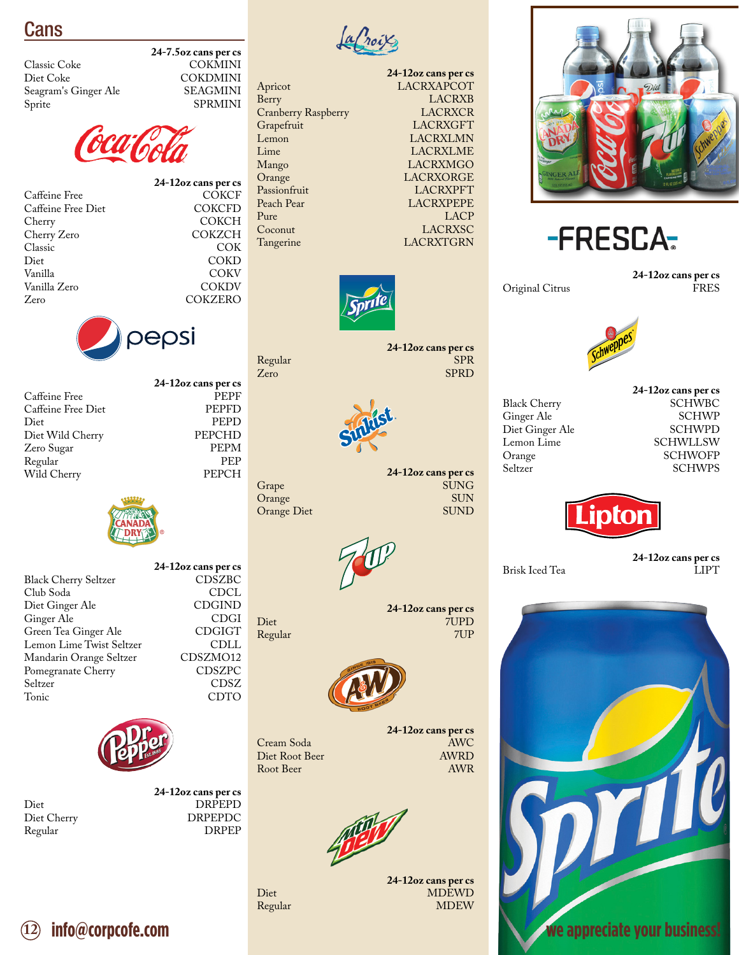Cans

Classic Coke COKMINI<br>Diet Coke COKDMINI Seagram's Ginger Ale<br>Sprite



**24-7.5oz cans per cs**

**24-12oz cans per cs**

COKDMINI<br>SEAGMINI

**SPRMINI** 

COKCH<br>COKZCH

**COKZERO** 

PEPD<br>PEPCHD

Caffeine Free Diet COKCF Caffeine Free Diet COKCFD Caffeine Free Diet<br>Cherry Cherry Zero COKZCH<br>Classic COK Classic COK Diet COKD Vanilla COKV Vanilla Zero COKDV



**24-12oz cans per cs** Caffeine Free Piet PEPF PEPFD<br>
Caffeine Free Diet PEPFD Caffeine Free Diet<br>Diet Diet Wild Cherry PEPCHD Zero Sugar PEPM Regular PEP<br>Wild Cherry PEPCH Wild Cherry



|                             | 24-12oz cans per cs |
|-----------------------------|---------------------|
| <b>Black Cherry Seltzer</b> | CDSZBC              |
| Club Soda                   | CDCL                |
| Diet Ginger Ale             | <b>CDGIND</b>       |
| Ginger Ale                  | <b>CDGI</b>         |
| Green Tea Ginger Ale        | <b>CDGIGT</b>       |
| Lemon Lime Twist Seltzer    | CDLL                |
| Mandarin Orange Seltzer     | CDSZMO12            |
| Pomegranate Cherry          | CDSZPC              |
| Seltzer                     | CDSZ                |
| Tonic                       | CDTO                |



Regular

**24-12oz cans per cs** Diet DRPEPD<br>Diet Cherry DRPEPDC DRPEPDC<br>DRPEP



Cranberry Raspberry<br>Grapefruit





**24-12oz cans per cs** Regular SPR<br>
SPRD<br>
SPRD<br>
SPRD Zero SPRD



24-12oz cans per cs Grape SUNG<br>Orange SUN Orange SUN<br>Orange Diet SUND



**24-12oz cans per cs** Diet 7UPD Regular 7UP



Root Beer

Regular

Orange Diet

**24-12oz cans per cs** Cream Soda AWC Diet Root Beer AWRD

**24-12oz cans per cs** Diet MDEWD<br>Regular MDEW<br>MDEW





Original Citrus

**24-12oz cans per cs**



Black Cherry SCHWBC<br>Ginger Ale SCHWP Ginger Ale SCHWP Diet Ginger Ale<br>Lemon Lime Lemon Lime SCHWLLSW<br>Orange SCHWOFP Orange SCHWOFP<br>Seltzer SCHWPS

**24-12oz cans per cs**



Brisk Iced Tea

**24-12oz cans per cs**